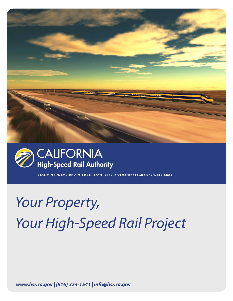



**RIGHT-OF-WAY • RE V. 2 APRIL 2013 (PREV. DECEMBER 2012 AND NOVEMBER 2009)**

## *Your Property, Your High-Speed Rail Project*

 *www.hsr.ca.gov | (916) 324-1541 | info@hsr.ca.gov www.hsr.ca.gov | (916) 324-1541 | info@hsr.ca.gov*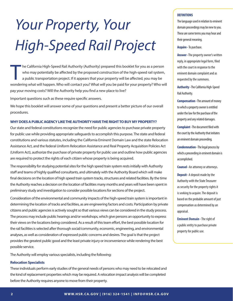# *Your Property, Your High-Speed Rail Project*

T **he California High-Speed Rail Authority (Authority) prepared this booklet for you as a person** who may potentially be affected by the proposed construction of the high-speed rail system, a public transportation project. If it appears that your property will be affected, you may be wondering what will happen. Who will contact you? What will you be paid for your property? Who will pay your moving costs? Will the Authority help you find a new place to live?

Important questions such as these require specific answers.

We hope this booklet will answer some of your questions and present a better picture of our overall procedures.

## **WHY DOES A PUBLIC AGENCY LIKE THE AUTHORITY HAVE THE RIGHT TO BUY MY PROPERTY?**

Our state and federal constitutions recognize the need for public agencies to purchase private property for public use while providing appropriate safeguards to accomplish this purpose. The state and federal constitutions and various statutes, including the California Eminent Domain Law and the state Relocation Assistance Act, and the federal Uniform Relocation Assistance and Real Property Acquisition Policies Act (Uniform Act), authorize the purchase of private property for public use and outline how public agencies are required to protect the rights of each citizen whose property is being acquired.

The responsibility for studying potential sites for the high speed train system rests initially with Authority staff and teams of highly qualified consultants, and ultimately with the Authority Board which will make final decisions on the location of high speed train system tracks, structures and related facilities. By the time the Authority reaches a decision on the location of facilities many months and years will have been spent in preliminary study and investigation to consider possible locations for sections of the project.

Consideration of the environmental and community impacts of the high-speed train system is important in determining the location of tracks and facilities, as are engineering factors and costs. Participation by private citizens and public agencies is actively sought so that various views can be considered in the study process. The process may include public hearings and/or workshops, which give persons an opportunity to express their views on the locations being considered. As a result of this team effort, the best possible location for the rail facilities is selected after thorough social/community, economic, engineering, and environmental analyses, as well as consideration of expressed public concerns and desires. The goal is that the project provides the greatest public good and the least private injury or inconvenience while rendering the best possible service.

The Authority will employ various specialists, including the following:

### **Relocation Specialists**

These individuals perform early studies of the general needs of persons who may need to be relocated and the kind of replacement properties which may be required. A relocation impact analysis will be completed before the Authority requires anyone to move from their property.

## **DEFINITIONS**

The language used in relation to eminent domain proceedings may be new to you. These are some terms you may hear and their general meaning.

**Acquire -**To purchase.

**Answer -** The property owner's written reply, in appropriate legal form, filed with the court in response to the eminent domain complaint and as requested by the summons.

**Authority -** The California High-Speed Rail Authority.

**Compensation -** The amount of money to which a property owner is entitled under the law for the purchase of the property and any related damages.

**Complaint -** The document filed with the court by the Authority that initiates an eminent domain proceeding.

**Condemnation -** The legal process by which a proceeding in eminent domain is accomplished.

**Counsel -** An attorney or attorneys.

**Deposit -** A deposit made by the Authority with the State Treasurer as security for the property rights it is seeking to acquire. The deposit is based on the probable amount of just compensation as determined by an appraisal.

**Eminent Domain -** The right of a public entity to purchase private property for public use.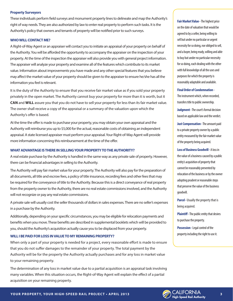### **Property Surveyors**

These individuals perform field surveys and monument property lines to delineate and map the Authority's right of way needs. They are also authorized by law to enter real property to perform such tasks. It is the Authority's policy that owners and tenants of property will be notified prior to such surveys.

## **WHO WILL CONTACT ME?**

A Right-of-Way Agent or an appraiser will contact you to initiate an appraisal of your property on behalf of the Authority. You will be afforded the opportunity to accompany the appraiser on the inspection of your property. At the time of the inspection the appraiser will also provide you with general project information. The appraiser will analyze your property and examine all of the features which contribute to its market value. Information about improvements you have made and any other special features that you believe may affect the market value of your property should be given to the appraiser to ensure he/she has all the information you feel is relevant.

It is the duty of the Authority to ensure that you receive fair market value as if you sold your property privately in the open market. The Authority cannot buy your property for more than it is worth, but it **CAN** and **WILL** assure you that you do not have to sell your property for less than its fair market value. The owner shall receive a copy of the appraisal or a summary of the valuation upon which the Authority's offer is based.

At the time the offer is made to purchase your property, you may obtain your own appraisal and the Authority will reimburse you up to \$5,000 for the actual, reasonable costs of obtaining an independent appraisal. A state licensed appraiser must perform your appraisal. Your Right-of-Way Agent will provide more information concerning this reimbursement at the time of the offer.

## **WHAT ADVANTAGE IS THERE IN SELLING YOUR PROPERTY TO THE AUTHORITY?**

A real estate purchase by the Authority is handled in the same way as any private sale of property. However, there can be financial advantages in selling to the Authority.

The Authority will pay fair market value for your property. The Authority will also pay for the preparation of all documents, all title and escrow fees, a policy of title insurance, recording fees and other fees that may be required for the conveyance of title to the Authority. Because this is a direct conveyance of real property from the property owner to the Authority, there are no real estate commissions involved, and the Authority will not recognize or pay any real estate commissions.

A private sale will usually cost the seller thousands of dollars in sales expenses. There are no seller's expenses in a purchase by the Authority.

Additionally, depending on your specific circumstances, you may be eligible for relocation payments and benefits when you move. These benefits are described in supplemental booklets which will be provided to you, should the Authority's acquisition actually cause you to be displaced from your property.

## **WILL I BE PAID FOR LOSS IN VALUE TO MY REMAINING PROPERTY?**

When only a part of your property is needed for a project, every reasonable effort is made to ensure that you do not suffer damages to the remainder of your property. The total payment by the Authority will be for the property the Authority actually purchases and for any loss in market value to your remaining property.

The determination of any loss in market value due to a partial acquisition is an appraisal task involving many variables. When this situation occurs, the Right-of-Way Agent will explain the effect of a partial acquisition on your remaining property.

**Fair Market Value -** The highest price on the date of valuation that would be agreed to by a seller, being willing to sell but under no particular or urgent necessity for so doing, nor obliged to sell, and a buyer, being ready, willing and able to buy but under no particular necessity for so doing, each dealing with the other with full knowledge of all the uses and purposes for which the property is reasonably adaptable and available.

### **Final Order of Condemnation -**

The instrument which, when recorded, transfers title to public ownership.

**Judgment -** The court's formal decision based on applicable law and the verdict.

**Just Compensation -** The amount paid to a private property owner by a public entity measured by the fair market value of the property being acquired.

**Loss of Business Goodwill -** A loss in the value of a business caused by a public entity's acquisition of property that cannot be reasonably prevented by relocation of the business or by the owner adopting prudent or reasonable steps that preserve the value of the business goodwill.

**Parcel -** Usually the property that is being acquired.

**Plaintiff -** The public entity that desires to purchase the property.

**Possession -** Legal control of the property including the right to use it.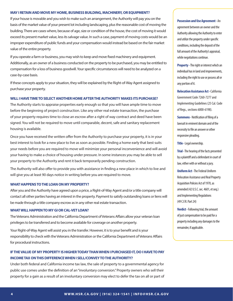## **MAY I RETAIN AND MOVE MY HOME, BUSINESS BUILDING, MACHINERY, OR EQUIPMENT?**

If your house is movable and you wish to make such an arrangement, the Authority will pay you on the basis of the market value of your present lot including landscaping, plus the reasonable cost of moving the building. There are cases where, because of age, size or condition of the house, the cost of moving it would exceed its present market value, less its salvage value. In such a case, payment of moving costs would be an improper expenditure of public funds and your compensation would instead be based on the fair market value of the entire property.

If you operate a farm or business, you may wish to keep and move fixed machinery and equipment. Additionally, as an owner of a business conducted on the property to be purchased, you may be entitled to compensation for a loss of business goodwill. Your specific circumstances will need to be analyzed on a case-by-case basis.

If these concepts apply to your situation, they will be explained by the Right-of-Way Agent assigned to purchase your property.

## **WILL I HAVE TIME TO SELECT ANOTHER HOME AFTER THE AUTHORITY MAKES ITS PURCHASE?**

The Authority starts to appraise properties early enough so that you will have ample time to move before the beginning of project construction. Like any other real estate transaction, the purchase of your property requires time to close an escrow after a right of way contract and deed have been signed. You will not be required to move until comparable, decent, safe and sanitary replacement housing is available.

Once you have received the written offer from the Authority to purchase your property, it is in your best interest to look for a new place to live as soon as possible. Finding a home early that best suits your needs before you are required to move will minimize your personal inconvenience and will avoid your having to make a choice of housing under pressure. In some instances you may be able to sell your property to the Authority and rent it back temporarily pending construction.

The Authority will also offer to provide you with assistance in finding a new place in which to live and will give you at least 90 days notice in writing before you are required to move.

## **WHAT HAPPENS TO THE LOAN ON MY PROPERTY?**

After you and the Authority have agreed upon a price, a Right-of-Way Agent and/or a title company will contact all other parties having an interest in the property. Payment to satisfy outstanding loans or liens will be made through a title company escrow as in any other real estate transaction.

## **WHAT WILL HAPPEN TO MY GI OR CAL-VET LOAN?**

The Veterans Administration and the California Department of Veterans Affairs allow your veteran loan privileges to be transferred and to become available for coverage on another property.

Your Right-of-Way Agent will assist you in the transfer. However, it is to your benefit and is your responsibility to check with the Veterans Administration or the California Department of Veterans Affairs for procedural instructions.

## **IF THE VALUE OF MY PROPERTY IS HIGHER TODAY THAN WHEN I PURCHASED IT, DO I HAVE TO PAY INCOME TAX ON THIS DIFFERENCE WHEN I SELL/CONVEY TO THE AUTHORITY?**

Under both federal and California income tax law, the sale of property to a governmental agency for public use comes under the definition of an "involuntary conversion." Property owners who sell their property for a gain as a result of an involuntary conversion may elect to defer the tax on all or part of

## **Possession and Use Agreement -** An

agreement between an owner and the Authority allowing the Authority to enter and utilize the property under specific conditions, including the deposit of the full amount of the Authority's appraisal, while negotiations continue.

**Property -** The right or interest which an individual has in land and improvements, including the right to use or possess all or any portion of it.

**Relocation Assistance Act -**California Government Code 7260-7277 and Implementing Guidelines (25 Cal. Code of Regs., sections 6000-6198).

**Summons -** Notification of filing of a lawsuit in eminent domain and of the necessity to file an answer or other responsive pleading.

**Title -** Legal ownership.

**Trial -** The hearing of the facts presented by a plaintiff and a defendant in court of law, either with or without a jury.

**Uniform Act -** The Federal Uniform Relocation Assistance and Real Property Acquisition Policies Act of 1970, as amended (42 U.S.C. sec. 4601, et seq.) and Implementing Regulations (49 C.F.R. Part 24)

**Verdict -** Following trial, the amount of just compensation to be paid for a property including any damages to the remainder, if applicable.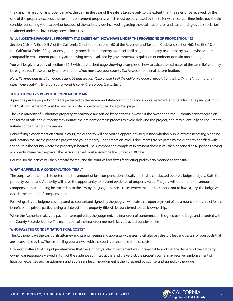the gain. If an election is properly made, the gain in the year of the sale is taxable only to the extent that the sales price received for the sale of the property exceeds the cost of replacement property, which must be purchased by the seller within certain time limits. You should consider consulting your tax advisor because of the various issues involved regarding the qualifications for, and tax reporting of, the special tax treatment under the involuntary conversion rules.

## **WILL I LOSE THE FAVORABLE PROPERTY TAX BASIS THAT I NOW HAVE UNDER THE PROVISIONS OF PROPOSITION 13?**

Section 2(d) of Article XIII-A of the California Constitution, section 68 of the Revenue and Taxation Code and section 462.5 of title 18 of the California Code of Regulations generally provide that property tax relief shall be granted to any real property owner who acquires comparable replacement property after having been displaced by governmental acquisition or eminent domain proceedings.

You will be given a copy of section 462.5 with an attached page showing examples of how to calculate estimates of the tax relief you may be eligible for. These are only approximations. You must see your county Tax Assessor for a final determination.

*Note: Revenue and Taxation Code section 68 and section 462.5 of title 18 of the California Code of Regulations set forth time limits that may affect your eligibility to retain your favorable current real property tax status.*

## **THE AUTHORITY'S POWER OF EMINENT DOMAIN**

A person's private property rights are protected by the federal and state constitutions and applicable federal and state laws. The principal right is that "just compensation" must be paid for private property acquired for a public project.

The vast majority of Authority's property transactions are settled by contract. However, if the owner and the Authority cannot agree on the terms of sale, the Authority may initiate the eminent domain process to avoid delaying the project, and may eventually be required to initiate condemnation proceedings.

Before filing a condemnation action in court, the Authority will give you an opportunity to question whether public interest, necessity, planning and location require the proposed project and your property. Condemnation lawsuit documents are prepared by the Authority and filed with the court in the county where the property is located. The summons and complaint in eminent domain will then be served on all persons having a property interest in the parcel. The persons served must answer the lawsuit within 30 days.

Counsel for the parties will then prepare for trial, and the court will set dates for briefing, preliminary motions and the trial.

## **WHAT HAPPENS IN A CONDEMNATION TRIAL?**

The purpose of the trial is to determine the amount of just compensation. Usually the trial is conducted before a judge and jury. Both the property owner and Authority will have the opportunity to present evidence of property value. The jury will determine the amount of compensation after being instructed as to the law by the judge. In those cases where the parties choose not to have a jury, the judge will decide the amount of compensation.

Following trial, the judgment is prepared by counsel and signed by the judge. It will state that, upon payment of the amount of the verdict for the benefit of the private parties having an interest in the property, title will be transferred to public ownership.

When the Authority makes the payment as required by the judgment, the final order of condemnation is signed by the judge and recorded with the County Recorder's office. The recordation of the final order memorializes the actual transfer of title.

## **WHO PAYS THE CONDEMNATION TRIAL COSTS?**

The Authority pays the costs of its attorney and its engineering and appraisal witnesses. It will also pay the jury fees and certain of your costs that are recoverable by law. The fee for filing your answer with the court is an example of these costs.

However, if after a trial the judge determines that the Authority's offer of settlement was unreasonable, and that the demand of the property owner was reasonable viewed in light of the evidence admitted at trial and the verdict, the property owner may receive reimbursement of litigation expenses such as attorney's and appraiser's fees. The judgment is then prepared by counsel and signed by the judge.